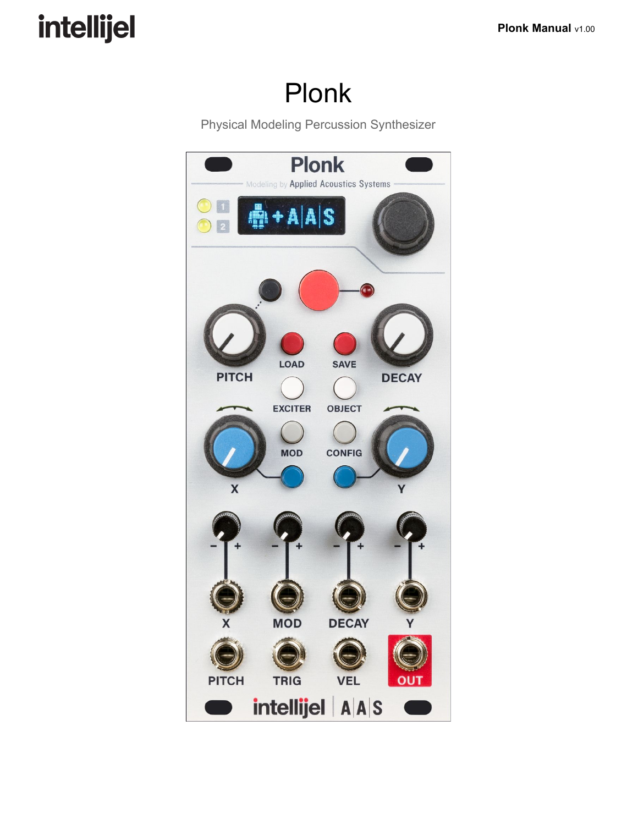## Plonk

Physical Modeling Percussion Synthesizer

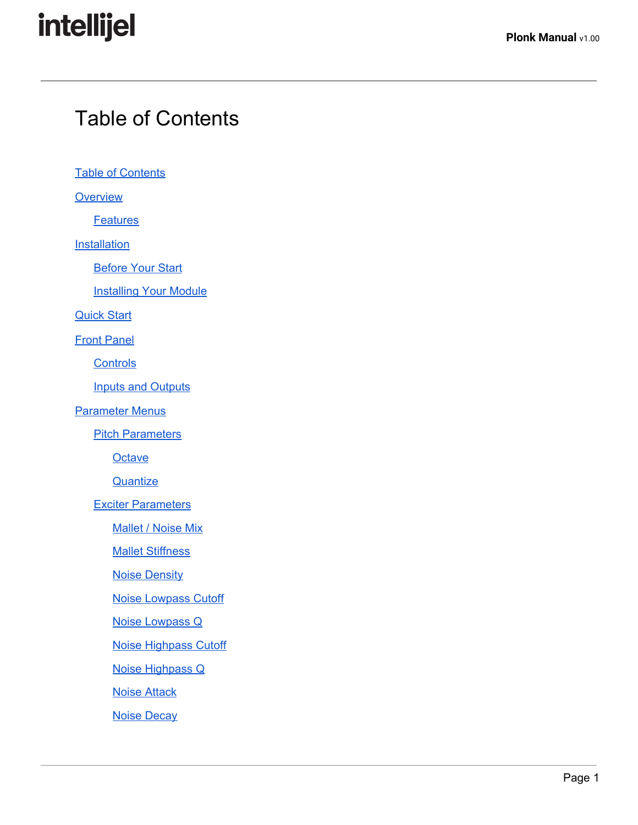### <span id="page-1-0"></span>Table of Contents

**Table of [Contents](#page-1-0)** 

**[Overview](#page-4-0)** 

**[Features](#page-5-0)** 

**[Installation](#page-6-2)** 

**[Before](#page-6-1) Your Start** 

**[Installing](#page-6-0) Your Module** 

[Quick](#page-9-0) Start

**Front [Panel](#page-10-0)** 

**[Controls](#page-11-0)** 

Inputs and [Outputs](#page-12-0)

[Parameter](#page-13-2) Menus

**Pitch [Parameters](#page-13-1)** 

**[Octave](#page-13-4)** 

**[Quantize](#page-13-3)** 

Exciter [Parameters](#page-13-5)

[Mallet](#page-13-0) / Noise Mix

**Mallet [Stiffness](#page-13-6)** 

Noise [Density](#page-14-5)

Noise [Lowpass](#page-14-3) Cutoff

Noise [Lowpass](#page-14-4) Q

Noise [Highpass](#page-14-2) Cutoff

Noise [Highpass](#page-14-1) Q

Noise [Attack](#page-14-0)

Noise [Decay](#page-14-6)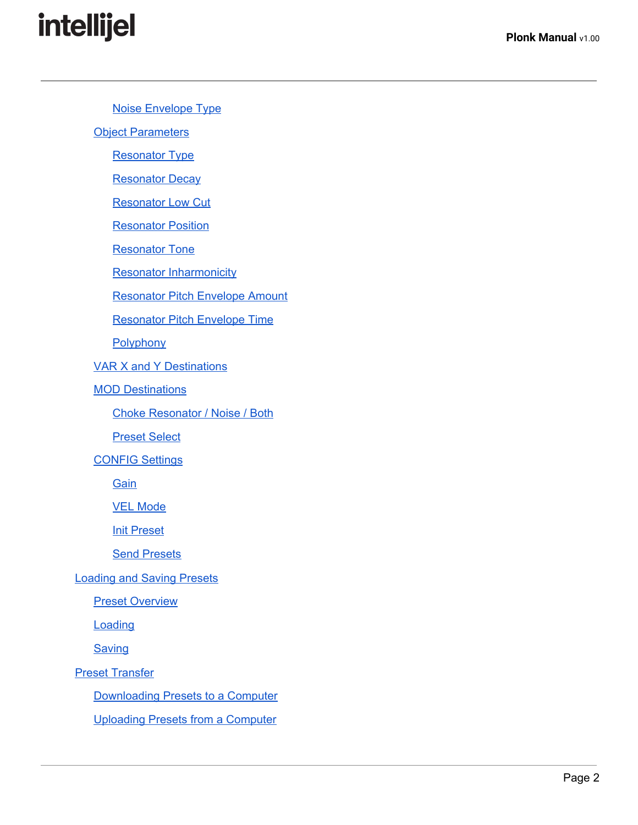Noise [Envelope](#page-14-7) Type **Object [Parameters](#page-15-0)** [Resonator](#page-15-1) Type **[Resonator](#page-16-1) Decay** [Resonator](#page-16-6) Low Cut **[Resonator](#page-16-2) Position** [Resonator](#page-16-3) Tone Resonator [Inharmonicity](#page-16-4) [Resonator](#page-16-0) Pitch Envelope Amount [Resonator](#page-16-5) Pitch Envelope Time **[Polyphony](#page-17-2)** VAR X and Y [Destinations](#page-17-0) **MOD [Destinations](#page-17-1)** Choke [Resonator](#page-18-0) / Noise / Both [Preset](#page-18-1) Select [CONFIG](#page-19-2) Settings **[Gain](#page-19-1)** VEL [Mode](#page-19-0) **Init [Preset](#page-20-0) Send [Presets](#page-20-3)** [Loading](#page-20-2) and Saving Presets Preset [Overview](#page-20-1) **[Loading](#page-21-1) [Saving](#page-21-0)** Preset [Transfer](#page-22-1) [Downloading](#page-22-2) Presets to a Computer [Uploading](#page-22-0) Presets from a Computer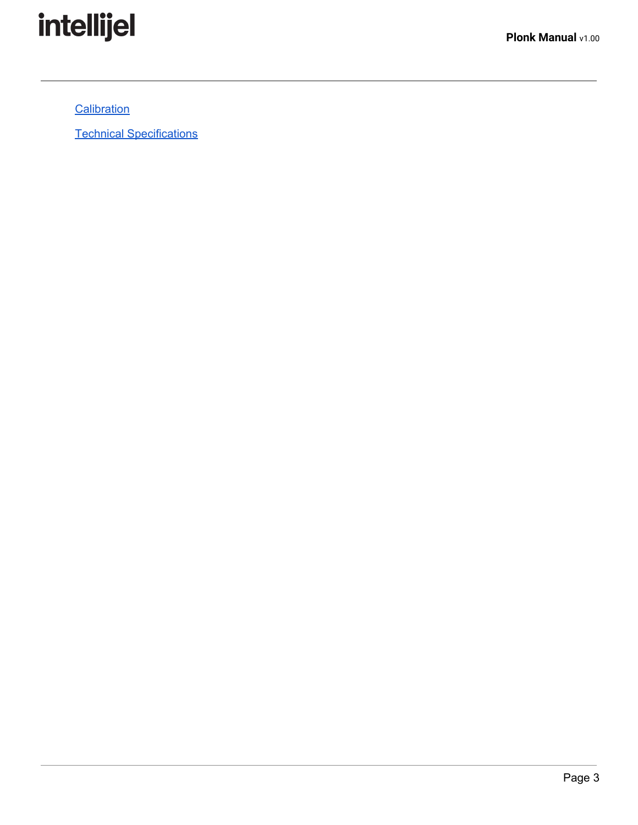

**[Calibration](#page-23-0)** 

Technical [Specifications](#page-23-1)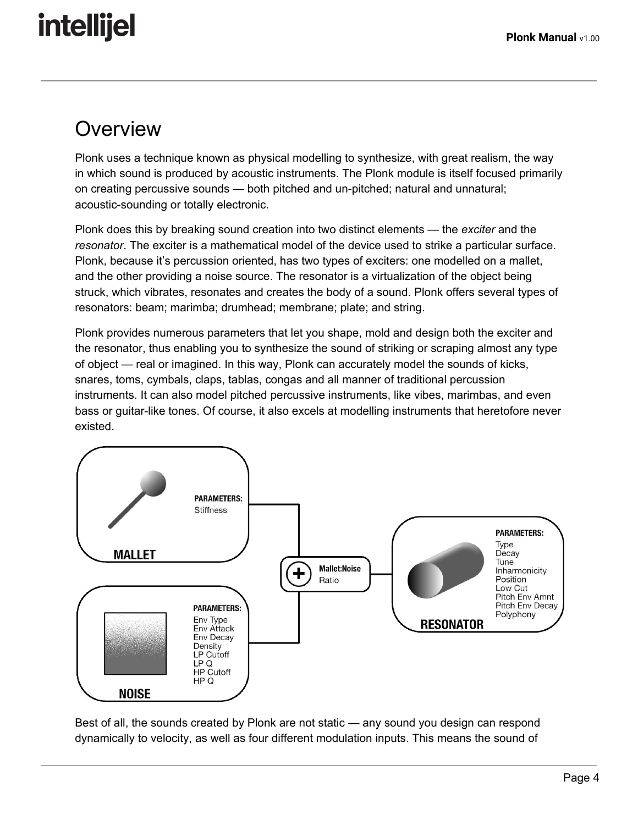### <span id="page-4-0"></span>**Overview**

Plonk uses a technique known as physical modelling to synthesize, with great realism, the way in which sound is produced by acoustic instruments. The Plonk module is itself focused primarily on creating percussive sounds — both pitched and un-pitched; natural and unnatural; acoustic-sounding or totally electronic.

Plonk does this by breaking sound creation into two distinct elements — the *exciter* and the *resonator*. The exciter is a mathematical model of the device used to strike a particular surface. Plonk, because it's percussion oriented, has two types of exciters: one modelled on a mallet, and the other providing a noise source. The resonator is a virtualization of the object being struck, which vibrates, resonates and creates the body of a sound. Plonk offers several types of resonators: beam; marimba; drumhead; membrane; plate; and string.

Plonk provides numerous parameters that let you shape, mold and design both the exciter and the resonator, thus enabling you to synthesize the sound of striking or scraping almost any type of object — real or imagined. In this way, Plonk can accurately model the sounds of kicks, snares, toms, cymbals, claps, tablas, congas and all manner of traditional percussion instruments. It can also model pitched percussive instruments, like vibes, marimbas, and even bass or guitar-like tones. Of course, it also excels at modelling instruments that heretofore never existed.



Best of all, the sounds created by Plonk are not static — any sound you design can respond dynamically to velocity, as well as four different modulation inputs. This means the sound of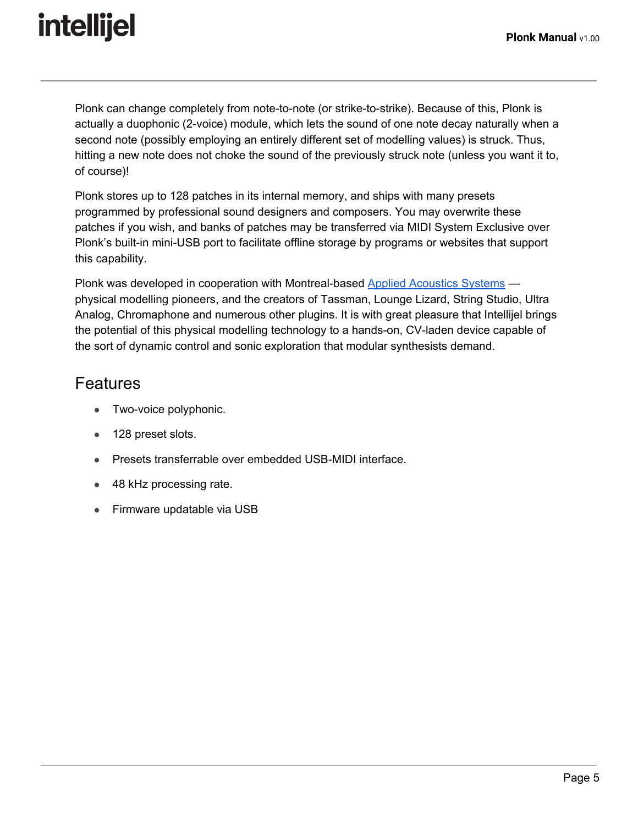Plonk can change completely from note-to-note (or strike-to-strike). Because of this, Plonk is actually a duophonic (2-voice) module, which lets the sound of one note decay naturally when a second note (possibly employing an entirely different set of modelling values) is struck. Thus, hitting a new note does not choke the sound of the previously struck note (unless you want it to, of course)!

Plonk stores up to 128 patches in its internal memory, and ships with many presets programmed by professional sound designers and composers. You may overwrite these patches if you wish, and banks of patches may be transferred via MIDI System Exclusive over Plonk's built-in mini-USB port to facilitate offline storage by programs or websites that support this capability.

Plonk was developed in cooperation with Montreal-based Applied [Acoustics](http://www.applied-acoustics.com/) Systems physical modelling pioneers, and the creators of Tassman, Lounge Lizard, String Studio, Ultra Analog, Chromaphone and numerous other plugins. It is with great pleasure that Intellijel brings the potential of this physical modelling technology to a hands-on, CV-laden device capable of the sort of dynamic control and sonic exploration that modular synthesists demand.

### <span id="page-5-0"></span>Features

- Two-voice polyphonic.
- 128 preset slots.
- Presets transferrable over embedded USB-MIDI interface.
- 48 kHz processing rate.
- Firmware updatable via USB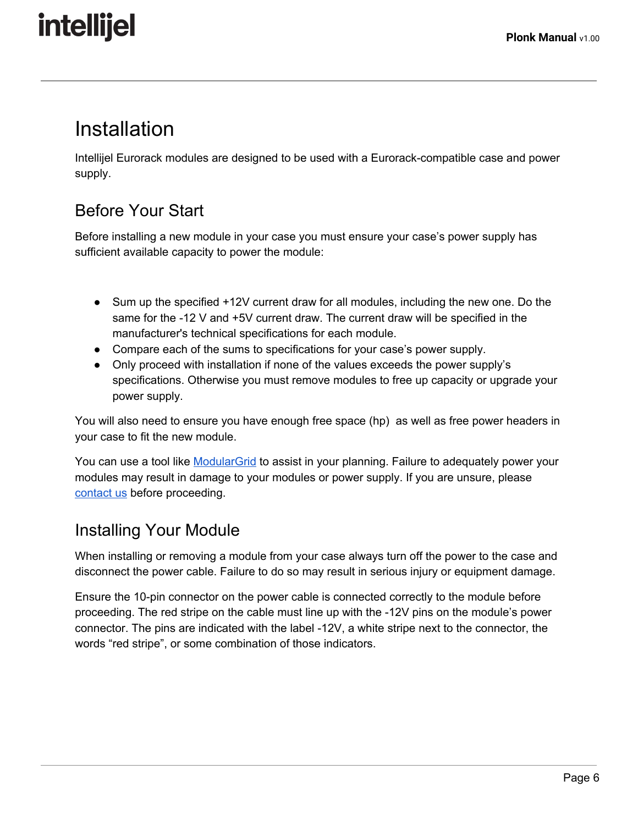### <span id="page-6-2"></span>Installation

Intellijel Eurorack modules are designed to be used with a Eurorack-compatible case and power supply.

### <span id="page-6-1"></span>Before Your Start

Before installing a new module in your case you must ensure your case's power supply has sufficient available capacity to power the module:

- Sum up the specified +12V current draw for all modules, including the new one. Do the same for the -12 V and +5V current draw. The current draw will be specified in the manufacturer's technical specifications for each module.
- Compare each of the sums to specifications for your case's power supply.
- Only proceed with installation if none of the values exceeds the power supply's specifications. Otherwise you must remove modules to free up capacity or upgrade your power supply.

You will also need to ensure you have enough free space (hp) as well as free power headers in your case to fit the new module.

You can use a tool like [ModularGrid](https://www.modulargrid.net/) to assist in your planning. Failure to adequately power your modules may result in damage to your modules or power supply. If you are unsure, please [contact](mailto:support@intellijel.com) us before proceeding.

### <span id="page-6-0"></span>Installing Your Module

When installing or removing a module from your case always turn off the power to the case and disconnect the power cable. Failure to do so may result in serious injury or equipment damage.

Ensure the 10-pin connector on the power cable is connected correctly to the module before proceeding. The red stripe on the cable must line up with the -12V pins on the module's power connector. The pins are indicated with the label -12V, a white stripe next to the connector, the words "red stripe", or some combination of those indicators.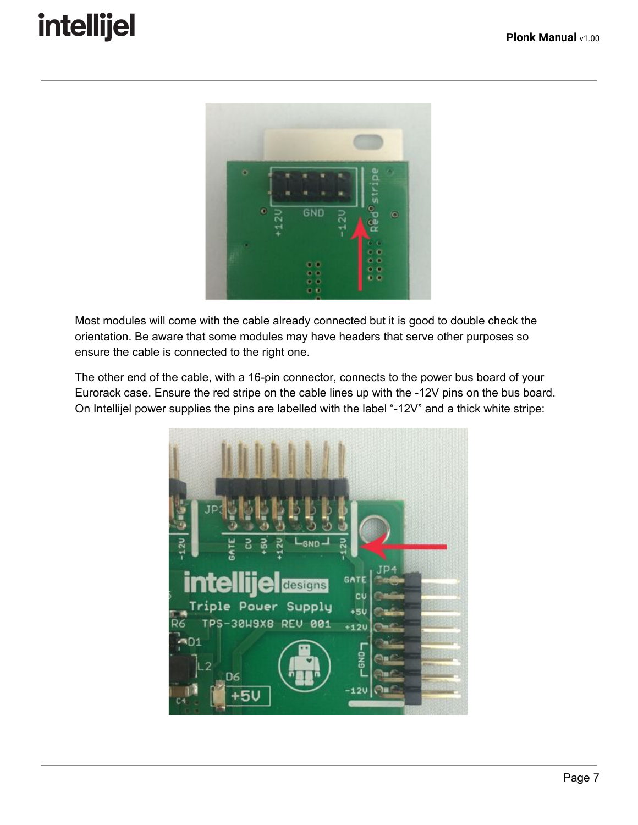

Most modules will come with the cable already connected but it is good to double check the orientation. Be aware that some modules may have headers that serve other purposes so ensure the cable is connected to the right one.

The other end of the cable, with a 16-pin connector, connects to the power bus board of your Eurorack case. Ensure the red stripe on the cable lines up with the -12V pins on the bus board. On Intellijel power supplies the pins are labelled with the label "-12V" and a thick white stripe:

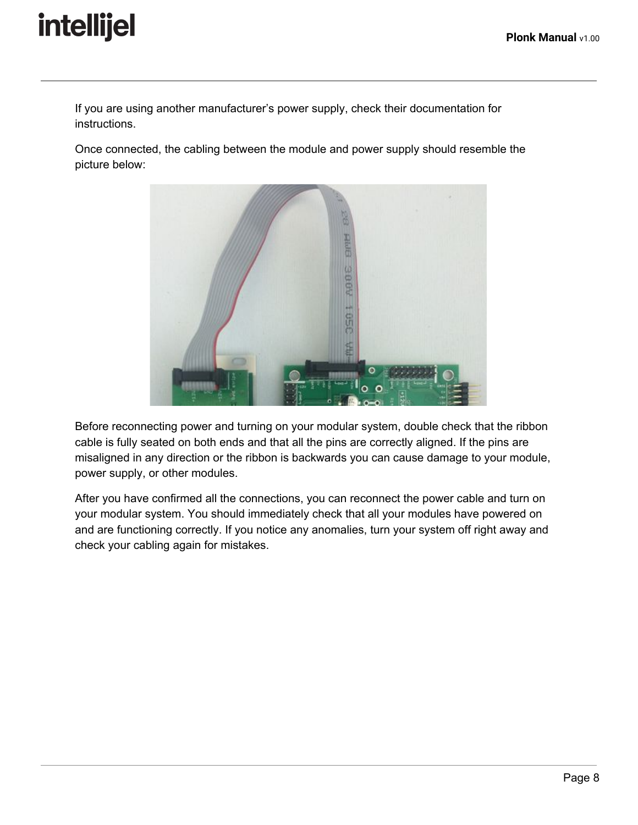If you are using another manufacturer's power supply, check their documentation for instructions.

Once connected, the cabling between the module and power supply should resemble the picture below:



Before reconnecting power and turning on your modular system, double check that the ribbon cable is fully seated on both ends and that all the pins are correctly aligned. If the pins are misaligned in any direction or the ribbon is backwards you can cause damage to your module, power supply, or other modules.

After you have confirmed all the connections, you can reconnect the power cable and turn on your modular system. You should immediately check that all your modules have powered on and are functioning correctly. If you notice any anomalies, turn your system off right away and check your cabling again for mistakes.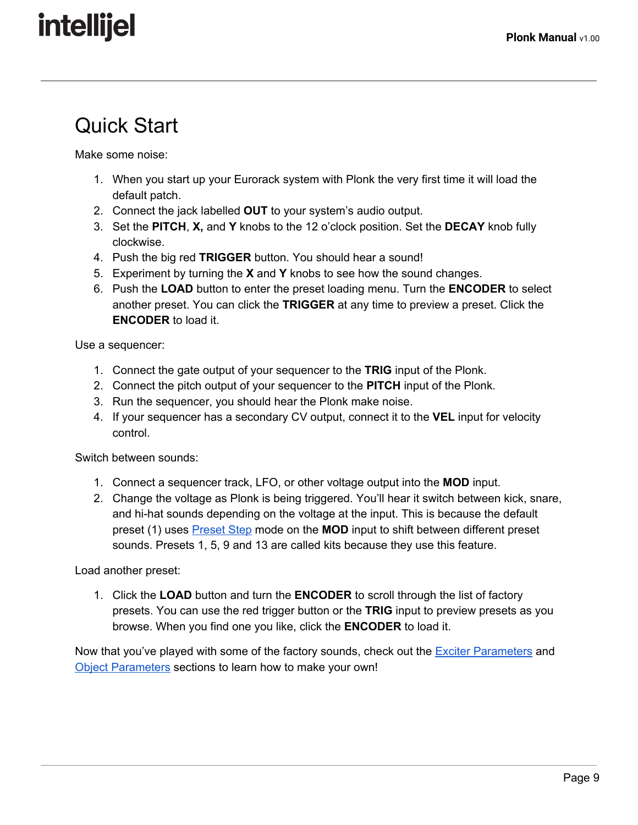## <span id="page-9-0"></span>Quick Start

Make some noise:

- 1. When you start up your Eurorack system with Plonk the very first time it will load the default patch.
- 2. Connect the jack labelled **OUT** to your system's audio output.
- 3. Set the **PITCH**, **X,** and **Y** knobs to the 12 o'clock position. Set the **DECAY** knob fully clockwise.
- 4. Push the big red **TRIGGER** button. You should hear a sound!
- 5. Experiment by turning the **X** and **Y** knobs to see how the sound changes.
- 6. Push the **LOAD** button to enter the preset loading menu. Turn the **ENCODER** to select another preset. You can click the **TRIGGER** at any time to preview a preset. Click the **ENCODER** to load it.

Use a sequencer:

- 1. Connect the gate output of your sequencer to the **TRIG** input of the Plonk.
- 2. Connect the pitch output of your sequencer to the **PITCH** input of the Plonk.
- 3. Run the sequencer, you should hear the Plonk make noise.
- 4. If your sequencer has a secondary CV output, connect it to the **VEL** input for velocity control.

Switch between sounds:

- 1. Connect a sequencer track, LFO, or other voltage output into the **MOD** input.
- 2. Change the voltage as Plonk is being triggered. You'll hear it switch between kick, snare, and hi-hat sounds depending on the voltage at the input. This is because the default preset (1) uses [Preset](#page-18-1) Step mode on the **MOD** input to shift between different preset sounds. Presets 1, 5, 9 and 13 are called kits because they use this feature.

Load another preset:

1. Click the **LOAD** button and turn the **ENCODER** to scroll through the list of factory presets. You can use the red trigger button or the **TRIG** input to preview presets as you browse. When you find one you like, click the **ENCODER** to load it.

Now that you've played with some of the factory sounds, check out the Exciter [Parameters](#page-13-5) and Object [Parameters](#page-15-0) sections to learn how to make your own!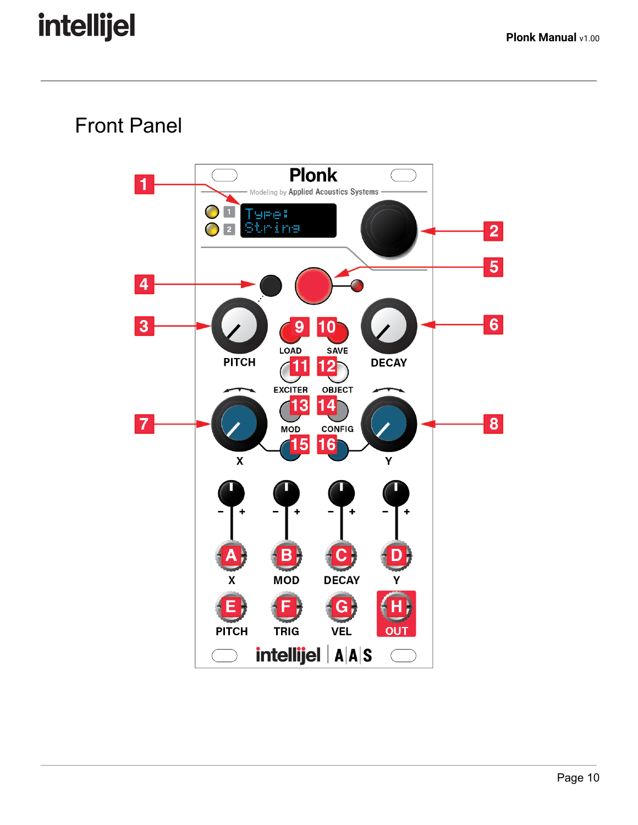## <span id="page-10-0"></span>Front Panel

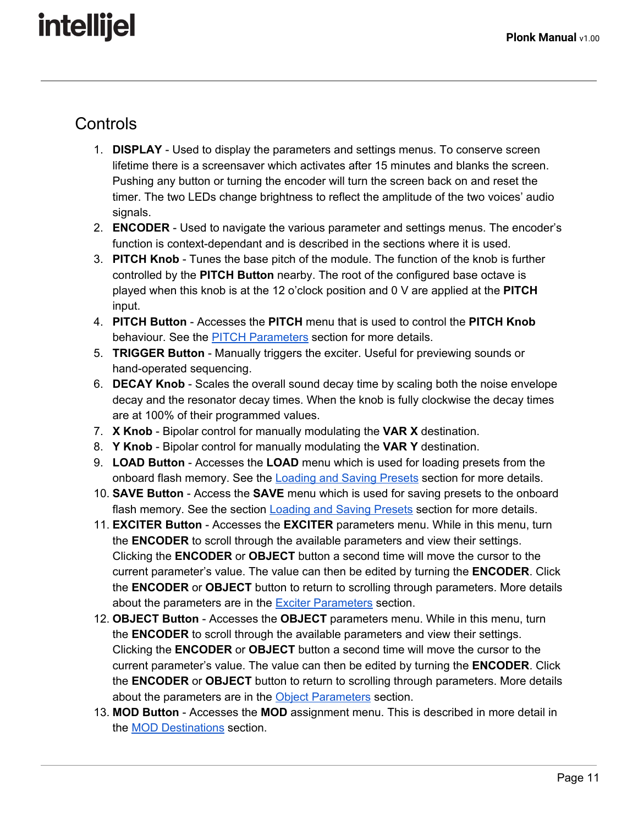### <span id="page-11-0"></span>**Controls**

- 1. **DISPLAY** Used to display the parameters and settings menus. To conserve screen lifetime there is a screensaver which activates after 15 minutes and blanks the screen. Pushing any button or turning the encoder will turn the screen back on and reset the timer. The two LEDs change brightness to reflect the amplitude of the two voices' audio signals.
- 2. **ENCODER** Used to navigate the various parameter and settings menus. The encoder's function is context-dependant and is described in the sections where it is used.
- 3. **PITCH Knob** Tunes the base pitch of the module. The function of the knob is further controlled by the **PITCH Button** nearby. The root of the configured base octave is played when this knob is at the 12 o'clock position and 0 V are applied at the **PITCH** input.
- 4. **PITCH Button** Accesses the **PITCH** menu that is used to control the **PITCH Knob** behaviour. See the PITCH [Parameters](#page-13-1) section for more details.
- 5. **TRIGGER Button** Manually triggers the exciter. Useful for previewing sounds or hand-operated sequencing.
- 6. **DECAY Knob** Scales the overall sound decay time by scaling both the noise envelope decay and the resonator decay times. When the knob is fully clockwise the decay times are at 100% of their programmed values.
- 7. **X Knob** Bipolar control for manually modulating the **VAR X** destination.
- 8. **Y Knob** Bipolar control for manually modulating the **VAR Y** destination.
- 9. **LOAD Button** Accesses the **LOAD** menu which is used for loading presets from the onboard flash memory. See the [Loading](#page-20-2) and Saving Presets section for more details.
- 10. **SAVE Button** Access the **SAVE** menu which is used for saving presets to the onboard flash memory. See the section **[Loading](#page-20-2) and Saving Presets** section for more details.
- 11. **EXCITER Button** Accesses the **EXCITER** parameters menu. While in this menu, turn the **ENCODER** to scroll through the available parameters and view their settings. Clicking the **ENCODER** or **OBJECT** button a second time will move the cursor to the current parameter's value. The value can then be edited by turning the **ENCODER**. Click the **ENCODER** or **OBJECT** button to return to scrolling through parameters. More details about the parameters are in the Exciter [Parameters](#page-13-5) section.
- 12. **OBJECT Button** Accesses the **OBJECT** parameters menu. While in this menu, turn the **ENCODER** to scroll through the available parameters and view their settings. Clicking the **ENCODER** or **OBJECT** button a second time will move the cursor to the current parameter's value. The value can then be edited by turning the **ENCODER**. Click the **ENCODER** or **OBJECT** button to return to scrolling through parameters. More details about the parameters are in the Object [Parameters](#page-15-0) section.
- 13. **MOD Button** Accesses the **MOD** assignment menu. This is described in more detail in the MOD [Destinations](#page-17-1) section.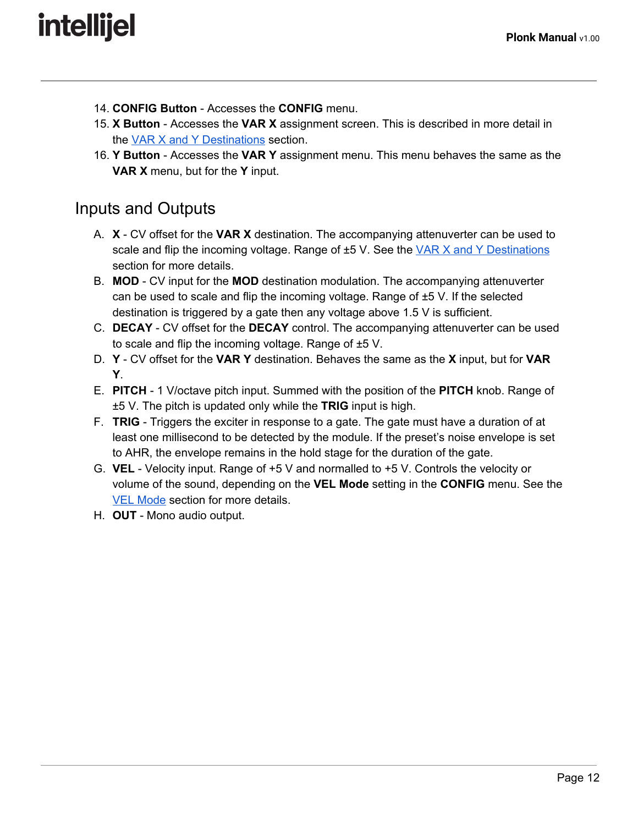- 14. **CONFIG Button** Accesses the **CONFIG** menu.
- 15. **X Button** Accesses the **VAR X** assignment screen. This is described in more detail in the VAR X and Y [Destinations](#page-17-0) section.
- 16. **Y Button** Accesses the **VAR Y** assignment menu. This menu behaves the same as the **VAR X** menu, but for the **Y** input.

### <span id="page-12-0"></span>Inputs and Outputs

- A. **X** CV offset for the **VAR X** destination. The accompanying attenuverter can be used to scale and flip the incoming voltage. Range of  $\pm$ 5 V. See the  $\sqrt{AR}$  X and Y [Destinations](#page-17-0) section for more details.
- B. **MOD** CV input for the **MOD** destination modulation. The accompanying attenuverter can be used to scale and flip the incoming voltage. Range of  $\pm$ 5 V. If the selected destination is triggered by a gate then any voltage above 1.5 V is sufficient.
- C. **DECAY** CV offset for the **DECAY** control. The accompanying attenuverter can be used to scale and flip the incoming voltage. Range of ±5 V.
- D. **Y** CV offset for the **VAR Y** destination. Behaves the same as the **X** input, but for **VAR Y**.
- E. **PITCH** 1 V/octave pitch input. Summed with the position of the **PITCH** knob. Range of ±5 V. The pitch is updated only while the **TRIG** input is high.
- F. **TRIG** Triggers the exciter in response to a gate. The gate must have a duration of at least one millisecond to be detected by the module. If the preset's noise envelope is set to AHR, the envelope remains in the hold stage for the duration of the gate.
- G. **VEL** Velocity input. Range of +5 V and normalled to +5 V. Controls the velocity or volume of the sound, depending on the **VEL Mode** setting in the **CONFIG** menu. See the VEL [Mode](#page-19-0) section for more details.
- H. **OUT** Mono audio output.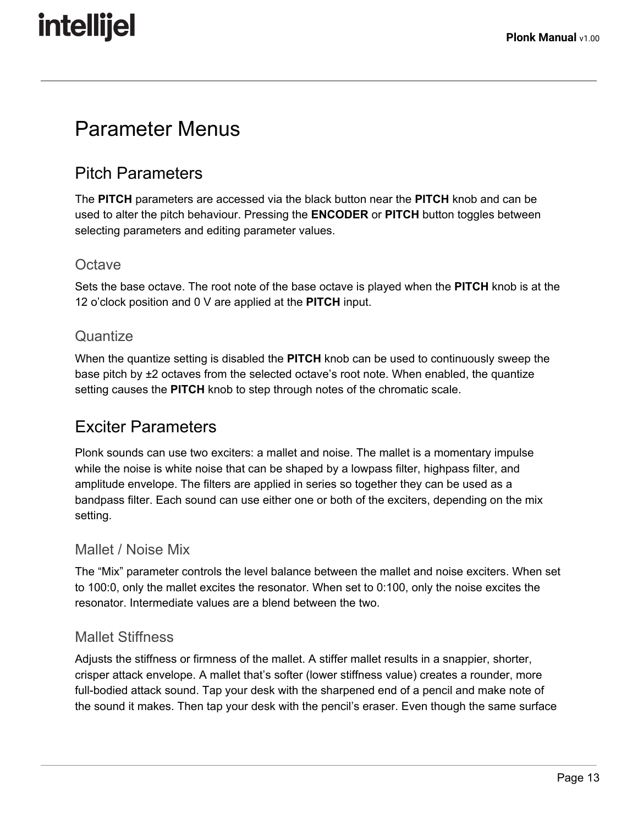### <span id="page-13-2"></span>Parameter Menus

### <span id="page-13-1"></span>Pitch Parameters

The **PITCH** parameters are accessed via the black button near the **PITCH** knob and can be used to alter the pitch behaviour. Pressing the **ENCODER** or **PITCH** button toggles between selecting parameters and editing parameter values.

### <span id="page-13-4"></span>**Octave**

Sets the base octave. The root note of the base octave is played when the **PITCH** knob is at the 12 o'clock position and 0 V are applied at the **PITCH** input.

### <span id="page-13-3"></span>**Quantize**

When the quantize setting is disabled the **PITCH** knob can be used to continuously sweep the base pitch by ±2 octaves from the selected octave's root note. When enabled, the quantize setting causes the **PITCH** knob to step through notes of the chromatic scale.

### <span id="page-13-5"></span>Exciter Parameters

Plonk sounds can use two exciters: a mallet and noise. The mallet is a momentary impulse while the noise is white noise that can be shaped by a lowpass filter, highpass filter, and amplitude envelope. The filters are applied in series so together they can be used as a bandpass filter. Each sound can use either one or both of the exciters, depending on the mix setting.

#### <span id="page-13-0"></span>Mallet / Noise Mix

The "Mix" parameter controls the level balance between the mallet and noise exciters. When set to 100:0, only the mallet excites the resonator. When set to 0:100, only the noise excites the resonator. Intermediate values are a blend between the two.

#### <span id="page-13-6"></span>Mallet Stiffness

Adjusts the stiffness or firmness of the mallet. A stiffer mallet results in a snappier, shorter, crisper attack envelope. A mallet that's softer (lower stiffness value) creates a rounder, more full-bodied attack sound. Tap your desk with the sharpened end of a pencil and make note of the sound it makes. Then tap your desk with the pencil's eraser. Even though the same surface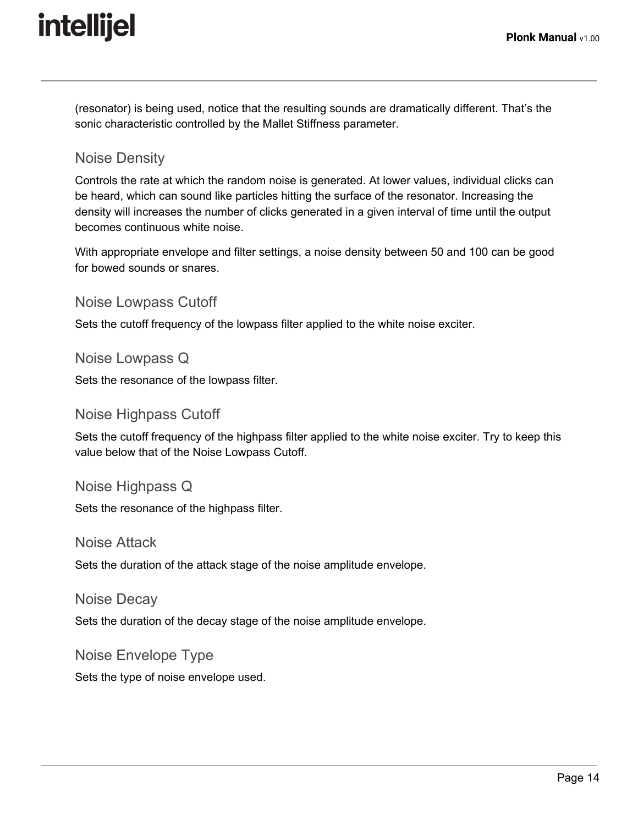(resonator) is being used, notice that the resulting sounds are dramatically different. That's the sonic characteristic controlled by the Mallet Stiffness parameter.

#### <span id="page-14-5"></span>Noise Density

Controls the rate at which the random noise is generated. At lower values, individual clicks can be heard, which can sound like particles hitting the surface of the resonator. Increasing the density will increases the number of clicks generated in a given interval of time until the output becomes continuous white noise.

With appropriate envelope and filter settings, a noise density between 50 and 100 can be good for bowed sounds or snares.

#### <span id="page-14-3"></span>Noise Lowpass Cutoff

Sets the cutoff frequency of the lowpass filter applied to the white noise exciter.

#### <span id="page-14-4"></span>Noise Lowpass Q

Sets the resonance of the lowpass filter.

#### <span id="page-14-2"></span>Noise Highpass Cutoff

Sets the cutoff frequency of the highpass filter applied to the white noise exciter. Try to keep this value below that of the Noise Lowpass Cutoff.

#### <span id="page-14-1"></span>Noise Highpass Q

Sets the resonance of the highpass filter.

#### <span id="page-14-0"></span>Noise Attack

Sets the duration of the attack stage of the noise amplitude envelope.

#### <span id="page-14-6"></span>Noise Decay

Sets the duration of the decay stage of the noise amplitude envelope.

#### <span id="page-14-7"></span>Noise Envelope Type

Sets the type of noise envelope used.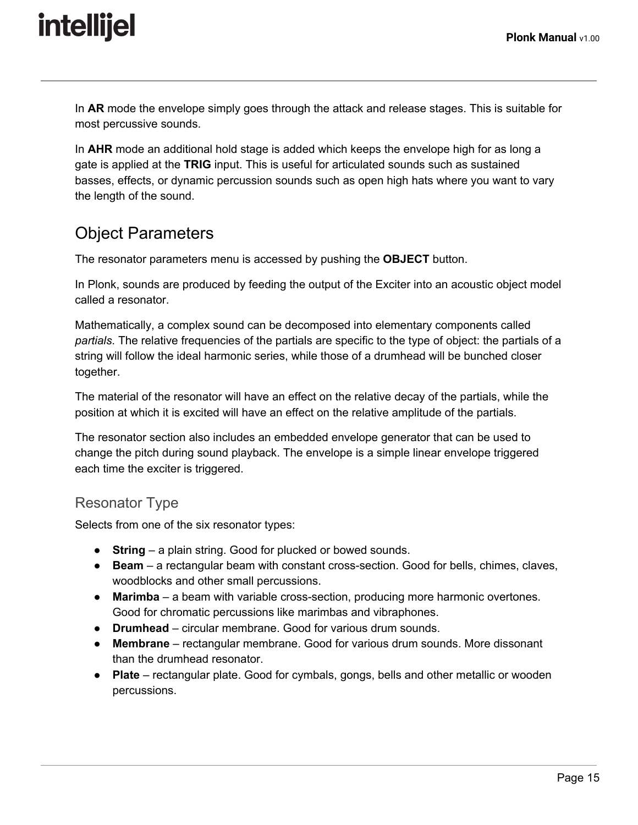In **AR** mode the envelope simply goes through the attack and release stages. This is suitable for most percussive sounds.

In **AHR** mode an additional hold stage is added which keeps the envelope high for as long a gate is applied at the **TRIG** input. This is useful for articulated sounds such as sustained basses, effects, or dynamic percussion sounds such as open high hats where you want to vary the length of the sound.

### <span id="page-15-0"></span>Object Parameters

The resonator parameters menu is accessed by pushing the **OBJECT** button.

In Plonk, sounds are produced by feeding the output of the Exciter into an acoustic object model called a resonator.

Mathematically, a complex sound can be decomposed into elementary components called *partials*. The relative frequencies of the partials are specific to the type of object: the partials of a string will follow the ideal harmonic series, while those of a drumhead will be bunched closer together.

The material of the resonator will have an effect on the relative decay of the partials, while the position at which it is excited will have an effect on the relative amplitude of the partials.

The resonator section also includes an embedded envelope generator that can be used to change the pitch during sound playback. The envelope is a simple linear envelope triggered each time the exciter is triggered.

### <span id="page-15-1"></span>Resonator Type

Selects from one of the six resonator types:

- **String** a plain string. Good for plucked or bowed sounds.
- **Beam** a rectangular beam with constant cross-section. Good for bells, chimes, claves, woodblocks and other small percussions.
- **Marimba** a beam with variable cross-section, producing more harmonic overtones. Good for chromatic percussions like marimbas and vibraphones.
- **Drumhead** circular membrane. Good for various drum sounds.
- **Membrane** rectangular membrane. Good for various drum sounds. More dissonant than the drumhead resonator.
- **Plate** rectangular plate. Good for cymbals, gongs, bells and other metallic or wooden percussions.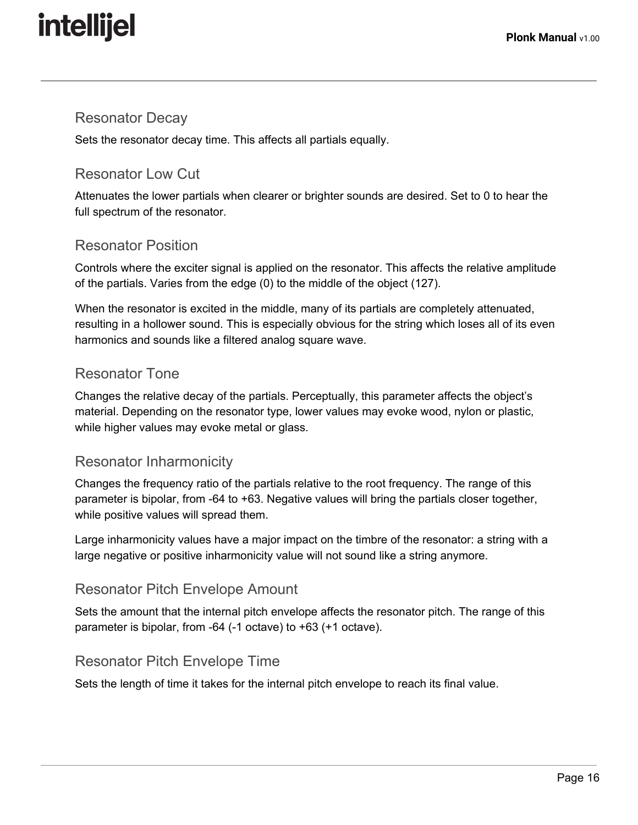#### <span id="page-16-1"></span>Resonator Decay

Sets the resonator decay time. This affects all partials equally.

#### <span id="page-16-6"></span>Resonator Low Cut

Attenuates the lower partials when clearer or brighter sounds are desired. Set to 0 to hear the full spectrum of the resonator.

#### <span id="page-16-2"></span>Resonator Position

Controls where the exciter signal is applied on the resonator. This affects the relative amplitude of the partials. Varies from the edge (0) to the middle of the object (127).

When the resonator is excited in the middle, many of its partials are completely attenuated, resulting in a hollower sound. This is especially obvious for the string which loses all of its even harmonics and sounds like a filtered analog square wave.

#### <span id="page-16-3"></span>Resonator Tone

Changes the relative decay of the partials. Perceptually, this parameter affects the object's material. Depending on the resonator type, lower values may evoke wood, nylon or plastic, while higher values may evoke metal or glass.

#### <span id="page-16-4"></span>Resonator Inharmonicity

Changes the frequency ratio of the partials relative to the root frequency. The range of this parameter is bipolar, from -64 to +63. Negative values will bring the partials closer together, while positive values will spread them.

Large inharmonicity values have a major impact on the timbre of the resonator: a string with a large negative or positive inharmonicity value will not sound like a string anymore.

#### <span id="page-16-0"></span>Resonator Pitch Envelope Amount

Sets the amount that the internal pitch envelope affects the resonator pitch. The range of this parameter is bipolar, from -64 (-1 octave) to +63 (+1 octave).

#### <span id="page-16-5"></span>Resonator Pitch Envelope Time

Sets the length of time it takes for the internal pitch envelope to reach its final value.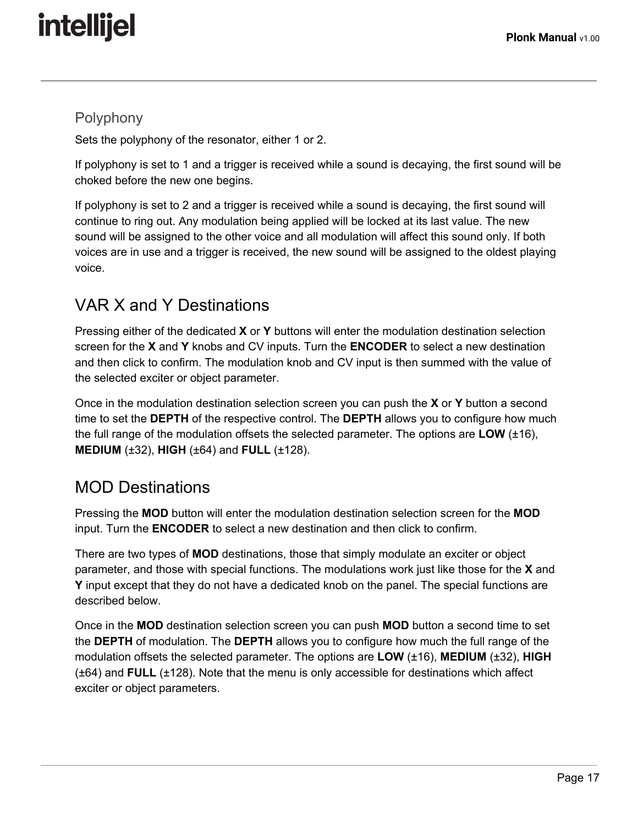#### <span id="page-17-2"></span>Polyphony

Sets the polyphony of the resonator, either 1 or 2.

If polyphony is set to 1 and a trigger is received while a sound is decaying, the first sound will be choked before the new one begins.

If polyphony is set to 2 and a trigger is received while a sound is decaying, the first sound will continue to ring out. Any modulation being applied will be locked at its last value. The new sound will be assigned to the other voice and all modulation will affect this sound only. If both voices are in use and a trigger is received, the new sound will be assigned to the oldest playing voice.

### <span id="page-17-0"></span>VAR X and Y Destinations

Pressing either of the dedicated **X** or **Y** buttons will enter the modulation destination selection screen for the **X** and **Y** knobs and CV inputs. Turn the **ENCODER** to select a new destination and then click to confirm. The modulation knob and CV input is then summed with the value of the selected exciter or object parameter.

Once in the modulation destination selection screen you can push the **X** or **Y** button a second time to set the **DEPTH** of the respective control. The **DEPTH** allows you to configure how much the full range of the modulation offsets the selected parameter. The options are **LOW** (±16), **MEDIUM** (±32), **HIGH** (±64) and **FULL** (±128).

### <span id="page-17-1"></span>MOD Destinations

Pressing the **MOD** button will enter the modulation destination selection screen for the **MOD** input. Turn the **ENCODER** to select a new destination and then click to confirm.

There are two types of **MOD** destinations, those that simply modulate an exciter or object parameter, and those with special functions. The modulations work just like those for the **X** and **Y** input except that they do not have a dedicated knob on the panel. The special functions are described below.

Once in the **MOD** destination selection screen you can push **MOD** button a second time to set the **DEPTH** of modulation. The **DEPTH** allows you to configure how much the full range of the modulation offsets the selected parameter. The options are **LOW** (±16), **MEDIUM** (±32), **HIGH** (±64) and **FULL** (±128). Note that the menu is only accessible for destinations which affect exciter or object parameters.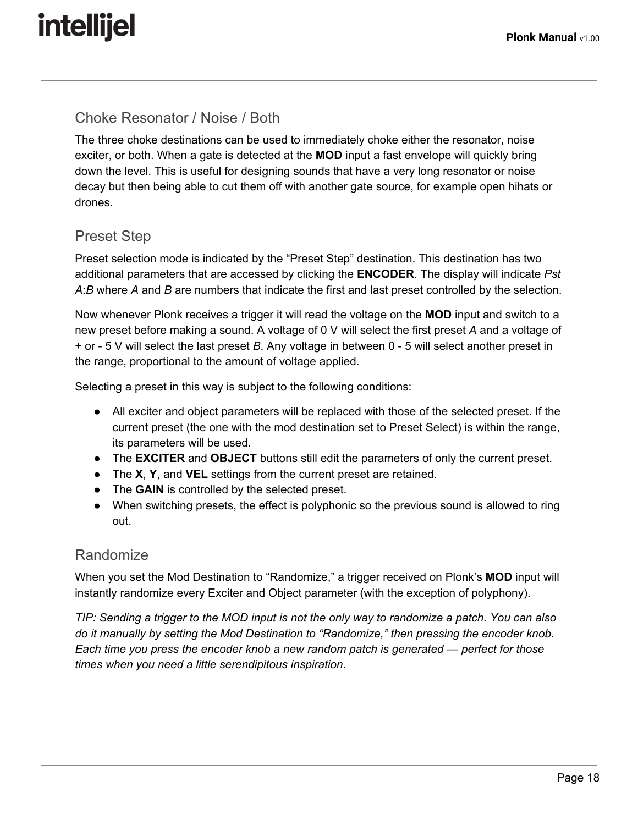#### <span id="page-18-0"></span>Choke Resonator / Noise / Both

The three choke destinations can be used to immediately choke either the resonator, noise exciter, or both. When a gate is detected at the **MOD** input a fast envelope will quickly bring down the level. This is useful for designing sounds that have a very long resonator or noise decay but then being able to cut them off with another gate source, for example open hihats or drones.

### <span id="page-18-1"></span>Preset Step

Preset selection mode is indicated by the "Preset Step" destination. This destination has two additional parameters that are accessed by clicking the **ENCODER**. The display will indicate *Pst A*:*B* where *A* and *B* are numbers that indicate the first and last preset controlled by the selection.

Now whenever Plonk receives a trigger it will read the voltage on the **MOD** input and switch to a new preset before making a sound. A voltage of 0 V will select the first preset *A* and a voltage of + or - 5 V will select the last preset *B*. Any voltage in between 0 - 5 will select another preset in the range, proportional to the amount of voltage applied.

Selecting a preset in this way is subject to the following conditions:

- All exciter and object parameters will be replaced with those of the selected preset. If the current preset (the one with the mod destination set to Preset Select) is within the range, its parameters will be used.
- The **EXCITER** and **OBJECT** buttons still edit the parameters of only the current preset.
- The **X**, **Y**, and **VEL** settings from the current preset are retained.
- The **GAIN** is controlled by the selected preset.
- When switching presets, the effect is polyphonic so the previous sound is allowed to ring out.

#### Randomize

When you set the Mod Destination to "Randomize," a trigger received on Plonk's **MOD** input will instantly randomize every Exciter and Object parameter (with the exception of polyphony).

TIP: Sending a trigger to the MOD input is not the only way to randomize a patch. You can also *do it manually by setting the Mod Destination to "Randomize," then pressing the encoder knob. Each time you press the encoder knob a new random patch is generated — perfect for those times when you need a little serendipitous inspiration.*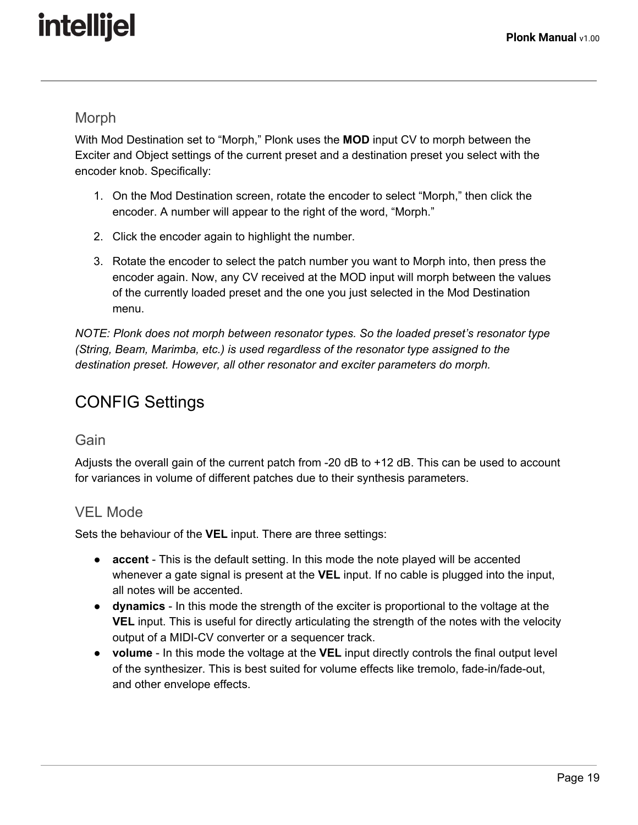#### Morph

With Mod Destination set to "Morph," Plonk uses the **MOD** input CV to morph between the Exciter and Object settings of the current preset and a destination preset you select with the encoder knob. Specifically:

- 1. On the Mod Destination screen, rotate the encoder to select "Morph," then click the encoder. A number will appear to the right of the word, "Morph."
- 2. Click the encoder again to highlight the number.
- 3. Rotate the encoder to select the patch number you want to Morph into, then press the encoder again. Now, any CV received at the MOD input will morph between the values of the currently loaded preset and the one you just selected in the Mod Destination menu.

*NOTE: Plonk does not morph between resonator types. So the loaded preset's resonator type (String, Beam, Marimba, etc.) is used regardless of the resonator type assigned to the destination preset. However, all other resonator and exciter parameters do morph.*

### <span id="page-19-2"></span>CONFIG Settings

#### <span id="page-19-1"></span>**Gain**

Adjusts the overall gain of the current patch from -20 dB to +12 dB. This can be used to account for variances in volume of different patches due to their synthesis parameters.

### <span id="page-19-0"></span>VEL Mode

Sets the behaviour of the **VEL** input. There are three settings:

- **accent** This is the default setting. In this mode the note played will be accented whenever a gate signal is present at the **VEL** input. If no cable is plugged into the input, all notes will be accented.
- **● dynamics** In this mode the strength of the exciter is proportional to the voltage at the **VEL** input. This is useful for directly articulating the strength of the notes with the velocity output of a MIDI-CV converter or a sequencer track.
- **● volume** In this mode the voltage at the **VEL** input directly controls the final output level of the synthesizer. This is best suited for volume effects like tremolo, fade-in/fade-out, and other envelope effects.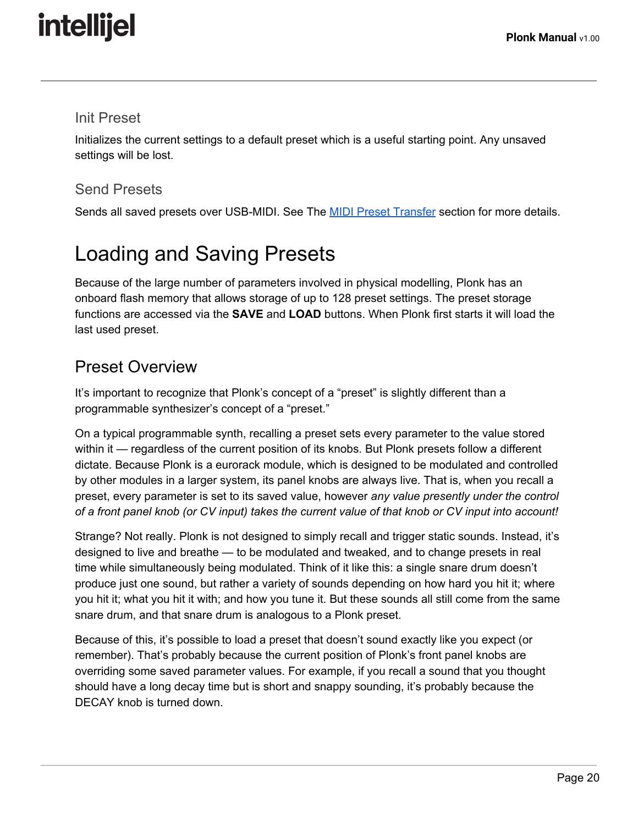#### <span id="page-20-0"></span>Init Preset

Initializes the current settings to a default preset which is a useful starting point. Any unsaved settings will be lost.

#### <span id="page-20-3"></span>Send Presets

Sends all saved presets over USB-MIDI. See The **MIDI Preset [Transfer](#page-22-1)** section for more details.

## <span id="page-20-2"></span>Loading and Saving Presets

Because of the large number of parameters involved in physical modelling, Plonk has an onboard flash memory that allows storage of up to 128 preset settings. The preset storage functions are accessed via the **SAVE** and **LOAD** buttons. When Plonk first starts it will load the last used preset.

### <span id="page-20-1"></span>Preset Overview

It's important to recognize that Plonk's concept of a "preset" is slightly different than a programmable synthesizer's concept of a "preset."

On a typical programmable synth, recalling a preset sets every parameter to the value stored within it — regardless of the current position of its knobs. But Plonk presets follow a different dictate. Because Plonk is a eurorack module, which is designed to be modulated and controlled by other modules in a larger system, its panel knobs are always live. That is, when you recall a preset, every parameter is set to its saved value, however *any value presently under the control* of a front panel knob (or CV input) takes the current value of that knob or CV input into account!

Strange? Not really. Plonk is not designed to simply recall and trigger static sounds. Instead, it's designed to live and breathe — to be modulated and tweaked, and to change presets in real time while simultaneously being modulated. Think of it like this: a single snare drum doesn't produce just one sound, but rather a variety of sounds depending on how hard you hit it; where you hit it; what you hit it with; and how you tune it. But these sounds all still come from the same snare drum, and that snare drum is analogous to a Plonk preset.

Because of this, it's possible to load a preset that doesn't sound exactly like you expect (or remember). That's probably because the current position of Plonk's front panel knobs are overriding some saved parameter values. For example, if you recall a sound that you thought should have a long decay time but is short and snappy sounding, it's probably because the DECAY knob is turned down.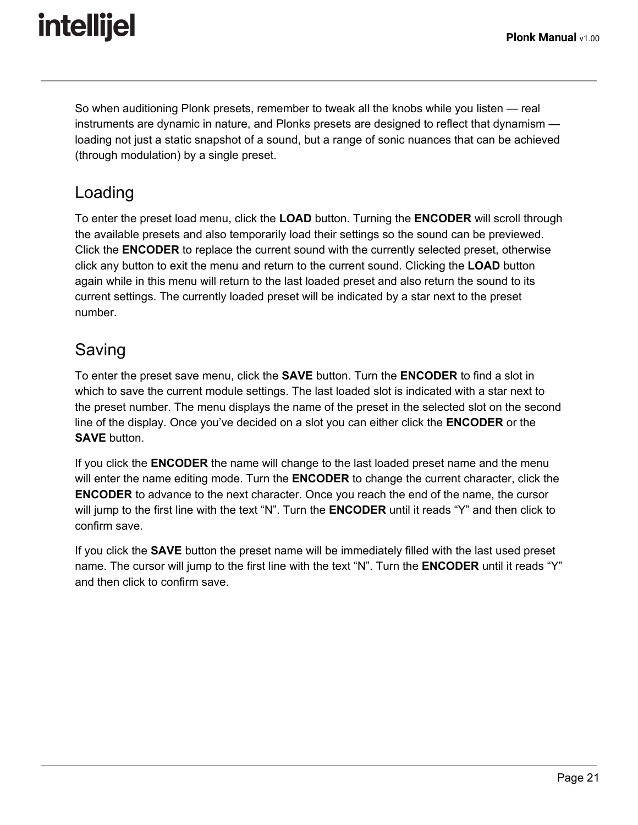So when auditioning Plonk presets, remember to tweak all the knobs while you listen — real instruments are dynamic in nature, and Plonks presets are designed to reflect that dynamism loading not just a static snapshot of a sound, but a range of sonic nuances that can be achieved (through modulation) by a single preset.

### <span id="page-21-1"></span>Loading

To enter the preset load menu, click the **LOAD** button. Turning the **ENCODER** will scroll through the available presets and also temporarily load their settings so the sound can be previewed. Click the **ENCODER** to replace the current sound with the currently selected preset, otherwise click any button to exit the menu and return to the current sound. Clicking the **LOAD** button again while in this menu will return to the last loaded preset and also return the sound to its current settings. The currently loaded preset will be indicated by a star next to the preset number.

### <span id="page-21-0"></span>Saving

To enter the preset save menu, click the **SAVE** button. Turn the **ENCODER** to find a slot in which to save the current module settings. The last loaded slot is indicated with a star next to the preset number. The menu displays the name of the preset in the selected slot on the second line of the display. Once you've decided on a slot you can either click the **ENCODER** or the **SAVE** button.

If you click the **ENCODER** the name will change to the last loaded preset name and the menu will enter the name editing mode. Turn the **ENCODER** to change the current character, click the **ENCODER** to advance to the next character. Once you reach the end of the name, the cursor will jump to the first line with the text "N". Turn the **ENCODER** until it reads "Y" and then click to confirm save.

If you click the **SAVE** button the preset name will be immediately filled with the last used preset name. The cursor will jump to the first line with the text "N". Turn the **ENCODER** until it reads "Y" and then click to confirm save.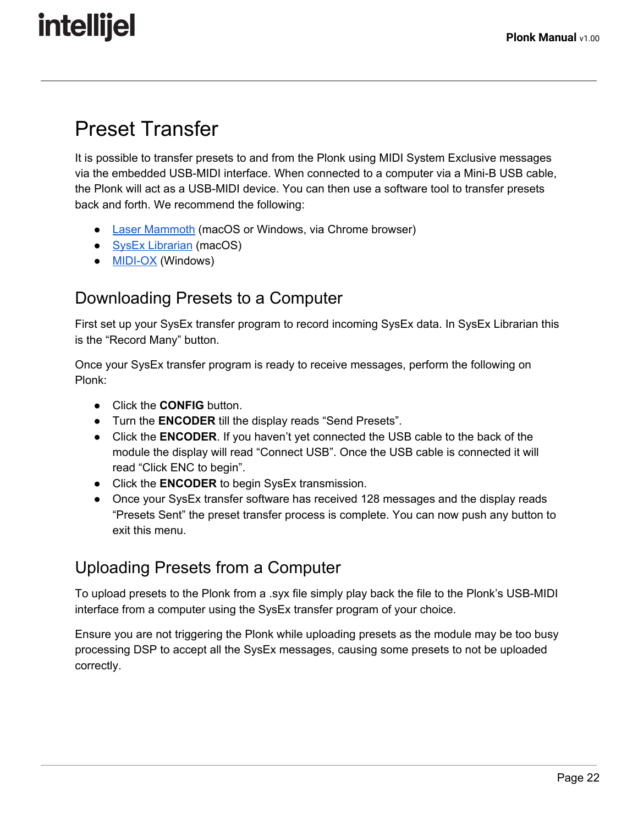### <span id="page-22-1"></span>Preset Transfer

It is possible to transfer presets to and from the Plonk using MIDI System Exclusive messages via the embedded USB-MIDI interface. When connected to a computer via a Mini-B USB cable, the Plonk will act as a USB-MIDI device. You can then use a software tool to transfer presets back and forth. We recommend the following:

- Laser [Mammoth](https://f0f7.net/fe/#/SysexLibrarian/IntellijelPlonk) (macOS or Windows, via Chrome browser)
- SysEx [Librarian](https://www.snoize.com/SysExLibrarian/) (macOS)
- **[MIDI-OX](http://www.midiox.com/)** (Windows)

### <span id="page-22-2"></span>Downloading Presets to a Computer

First set up your SysEx transfer program to record incoming SysEx data. In SysEx Librarian this is the "Record Many" button.

Once your SysEx transfer program is ready to receive messages, perform the following on Plonk:

- Click the **CONFIG** button.
- Turn the **ENCODER** till the display reads "Send Presets".
- Click the **ENCODER**. If you haven't yet connected the USB cable to the back of the module the display will read "Connect USB". Once the USB cable is connected it will read "Click ENC to begin".
- Click the **ENCODER** to begin SysEx transmission.
- Once your SysEx transfer software has received 128 messages and the display reads "Presets Sent" the preset transfer process is complete. You can now push any button to exit this menu.

### <span id="page-22-0"></span>Uploading Presets from a Computer

To upload presets to the Plonk from a .syx file simply play back the file to the Plonk's USB-MIDI interface from a computer using the SysEx transfer program of your choice.

Ensure you are not triggering the Plonk while uploading presets as the module may be too busy processing DSP to accept all the SysEx messages, causing some presets to not be uploaded correctly.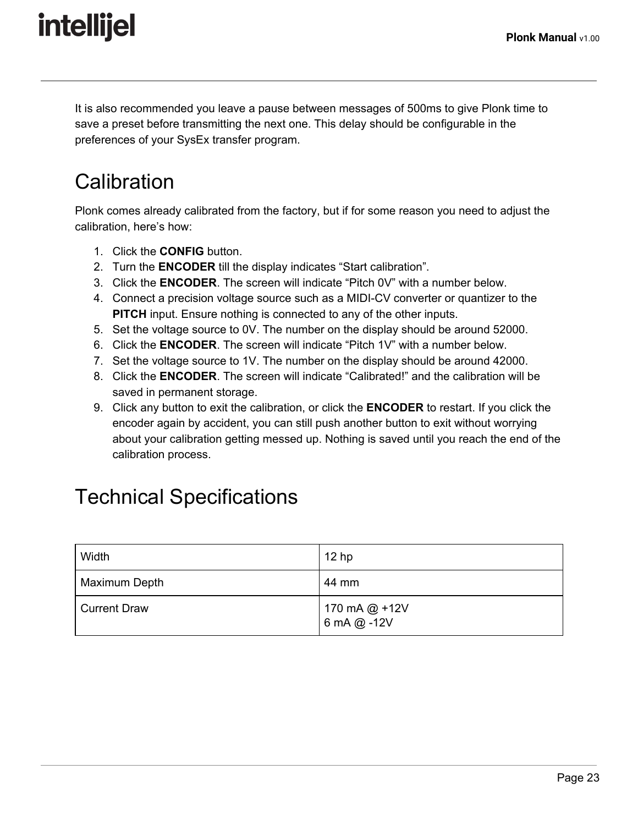It is also recommended you leave a pause between messages of 500ms to give Plonk time to save a preset before transmitting the next one. This delay should be configurable in the preferences of your SysEx transfer program.

## <span id="page-23-0"></span>**Calibration**

Plonk comes already calibrated from the factory, but if for some reason you need to adjust the calibration, here's how:

- 1. Click the **CONFIG** button.
- 2. Turn the **ENCODER** till the display indicates "Start calibration".
- 3. Click the **ENCODER**. The screen will indicate "Pitch 0V" with a number below.
- 4. Connect a precision voltage source such as a MIDI-CV converter or quantizer to the **PITCH** input. Ensure nothing is connected to any of the other inputs.
- 5. Set the voltage source to 0V. The number on the display should be around 52000.
- 6. Click the **ENCODER**. The screen will indicate "Pitch 1V" with a number below.
- 7. Set the voltage source to 1V. The number on the display should be around 42000.
- 8. Click the **ENCODER**. The screen will indicate "Calibrated!" and the calibration will be saved in permanent storage.
- 9. Click any button to exit the calibration, or click the **ENCODER** to restart. If you click the encoder again by accident, you can still push another button to exit without worrying about your calibration getting messed up. Nothing is saved until you reach the end of the calibration process.

### <span id="page-23-1"></span>Technical Specifications

| Width         | 12 <sub>hp</sub>               |
|---------------|--------------------------------|
| Maximum Depth | 44 mm                          |
| Current Draw  | 170 mA @ +12V<br>  6 mA @ -12V |